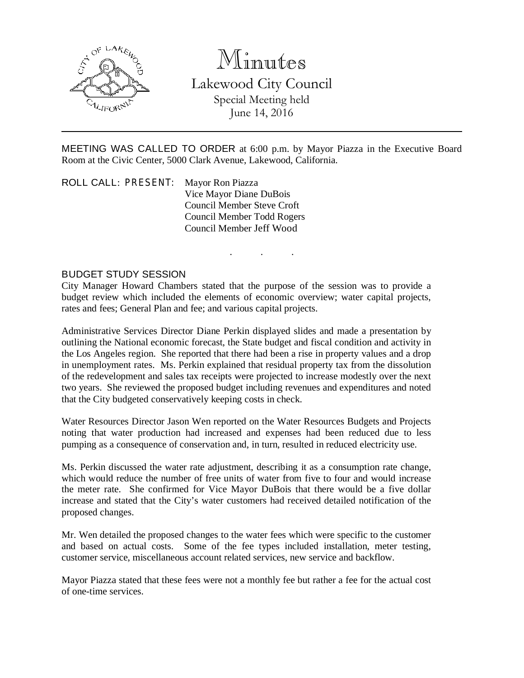

# Minutes

Lakewood City Council Special Meeting held June 14, 2016

MEETING WAS CALLED TO ORDER at 6:00 p.m. by Mayor Piazza in the Executive Board Room at the Civic Center, 5000 Clark Avenue, Lakewood, California.

. . .

ROLL CALL: PRESENT: Mayor Ron Piazza Vice Mayor Diane DuBois Council Member Steve Croft Council Member Todd Rogers Council Member Jeff Wood

## BUDGET STUDY SESSION

City Manager Howard Chambers stated that the purpose of the session was to provide a budget review which included the elements of economic overview; water capital projects, rates and fees; General Plan and fee; and various capital projects.

Administrative Services Director Diane Perkin displayed slides and made a presentation by outlining the National economic forecast, the State budget and fiscal condition and activity in the Los Angeles region. She reported that there had been a rise in property values and a drop in unemployment rates. Ms. Perkin explained that residual property tax from the dissolution of the redevelopment and sales tax receipts were projected to increase modestly over the next two years. She reviewed the proposed budget including revenues and expenditures and noted that the City budgeted conservatively keeping costs in check.

Water Resources Director Jason Wen reported on the Water Resources Budgets and Projects noting that water production had increased and expenses had been reduced due to less pumping as a consequence of conservation and, in turn, resulted in reduced electricity use.

Ms. Perkin discussed the water rate adjustment, describing it as a consumption rate change, which would reduce the number of free units of water from five to four and would increase the meter rate. She confirmed for Vice Mayor DuBois that there would be a five dollar increase and stated that the City's water customers had received detailed notification of the proposed changes.

Mr. Wen detailed the proposed changes to the water fees which were specific to the customer and based on actual costs. Some of the fee types included installation, meter testing, customer service, miscellaneous account related services, new service and backflow.

Mayor Piazza stated that these fees were not a monthly fee but rather a fee for the actual cost of one-time services.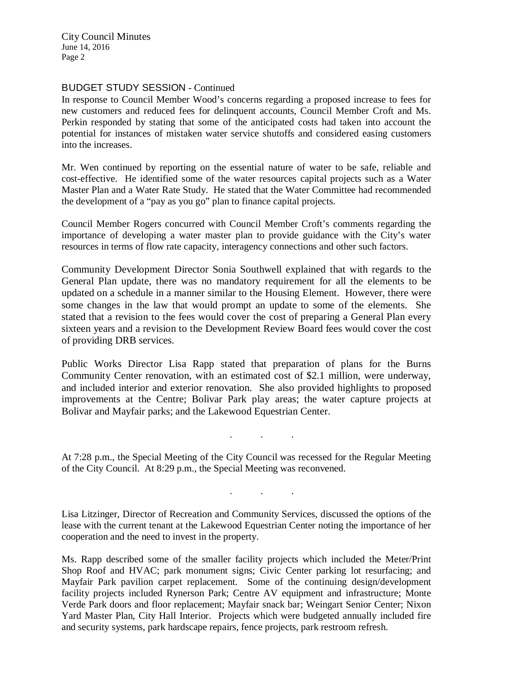City Council Minutes June 14, 2016 Page 2

### BUDGET STUDY SESSION - Continued

In response to Council Member Wood's concerns regarding a proposed increase to fees for new customers and reduced fees for delinquent accounts, Council Member Croft and Ms. Perkin responded by stating that some of the anticipated costs had taken into account the potential for instances of mistaken water service shutoffs and considered easing customers into the increases.

Mr. Wen continued by reporting on the essential nature of water to be safe, reliable and cost-effective. He identified some of the water resources capital projects such as a Water Master Plan and a Water Rate Study. He stated that the Water Committee had recommended the development of a "pay as you go" plan to finance capital projects.

Council Member Rogers concurred with Council Member Croft's comments regarding the importance of developing a water master plan to provide guidance with the City's water resources in terms of flow rate capacity, interagency connections and other such factors.

Community Development Director Sonia Southwell explained that with regards to the General Plan update, there was no mandatory requirement for all the elements to be updated on a schedule in a manner similar to the Housing Element. However, there were some changes in the law that would prompt an update to some of the elements. She stated that a revision to the fees would cover the cost of preparing a General Plan every sixteen years and a revision to the Development Review Board fees would cover the cost of providing DRB services.

Public Works Director Lisa Rapp stated that preparation of plans for the Burns Community Center renovation, with an estimated cost of \$2.1 million, were underway, and included interior and exterior renovation. She also provided highlights to proposed improvements at the Centre; Bolivar Park play areas; the water capture projects at Bolivar and Mayfair parks; and the Lakewood Equestrian Center.

At 7:28 p.m., the Special Meeting of the City Council was recessed for the Regular Meeting of the City Council. At 8:29 p.m., the Special Meeting was reconvened.

. . .

. . .

Lisa Litzinger, Director of Recreation and Community Services, discussed the options of the lease with the current tenant at the Lakewood Equestrian Center noting the importance of her cooperation and the need to invest in the property.

Ms. Rapp described some of the smaller facility projects which included the Meter/Print Shop Roof and HVAC; park monument signs; Civic Center parking lot resurfacing; and Mayfair Park pavilion carpet replacement. Some of the continuing design/development facility projects included Rynerson Park; Centre AV equipment and infrastructure; Monte Verde Park doors and floor replacement; Mayfair snack bar; Weingart Senior Center; Nixon Yard Master Plan, City Hall Interior. Projects which were budgeted annually included fire and security systems, park hardscape repairs, fence projects, park restroom refresh.